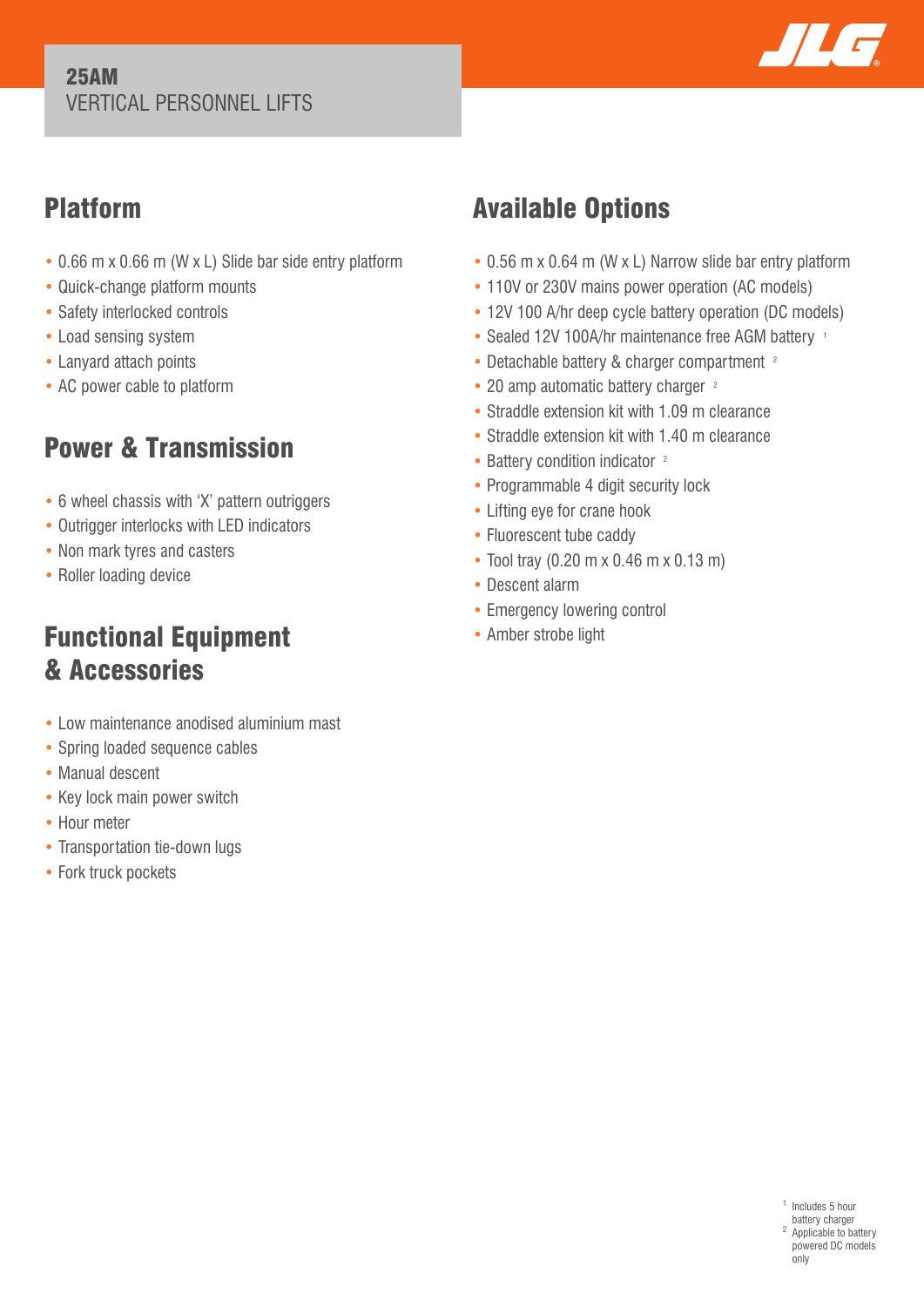#### 25AM VERTICAL PERSONNEL LIFTS



## Platform

- 0.66 m x 0.66 m (W x L) Slide bar side entry platform
- Quick-change platform mounts
- Safety interlocked controls
- Load sensing system
- Lanyard attach points
- AC power cable to platform

# Power & Transmission

- 6 wheel chassis with 'X' pattern outriggers
- Outrigger interlocks with LED indicators
- Non mark tyres and casters
- Roller loading device

## Functional Equipment & Accessories

- Low maintenance anodised aluminium mast
- Spring loaded sequence cables
- Manual descent
- Key lock main power switch
- Hour meter
- Transportation tie-down lugs
- Fork truck pockets

# Available Options

- 0.56 m x 0.64 m (W x L) Narrow slide bar entry platform
- 110V or 230V mains power operation (AC models)
- 12V 100 A/hr deep cycle battery operation (DC models)
- Sealed 12V 100A/hr maintenance free AGM battery 1
- Detachable battery & charger compartment <sup>2</sup>
- 20 amp automatic battery charger <sup>2</sup>
- Straddle extension kit with 1.09 m clearance
- Straddle extension kit with 1.40 m clearance
- Battery condition indicator <sup>2</sup>
- Programmable 4 digit security lock
- Lifting eye for crane hook
- Fluorescent tube caddy
- Tool tray (0.20 m x 0.46 m x 0.13 m)
- Descent alarm
- Emergency lowering control
- Amber strobe light

<sup>1</sup> Includes 5 hour battery charger <sup>2</sup> Applicable to battery powered DC models only